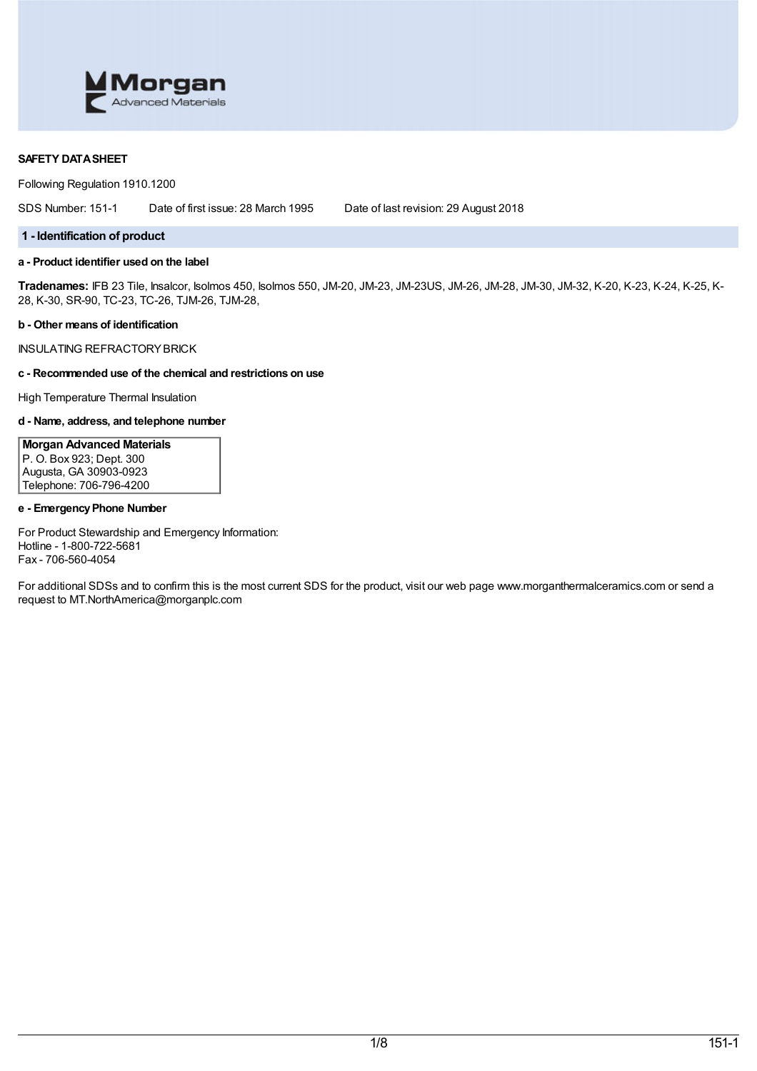

# **SAFETY DATASHEET**

Following Regulation 1910.1200

SDS Number: 151-1 Date of first issue: 28 March 1995 Date of last revision: 29 August 2018

### **1 - Identification of product**

# **a - Product identifier used on the label**

**Tradenames:** IFB 23 Tile, Insalcor, Isolmos 450, Isolmos 550, JM-20, JM-23, JM-23US, JM-26, JM-28, JM-30, JM-32, K-20, K-23, K-24, K-25, K-28, K-30, SR-90, TC-23, TC-26, TJM-26, TJM-28,

#### **b - Other means of identification**

INSULATING REFRACTORYBRICK

# **c - Recommended use of the chemical and restrictions on use**

High Temperature Thermal Insulation

### **d - Name, address, and telephone number**

**Morgan Advanced Materials** P. O. Box 923; Dept. 300 Augusta, GA 30903-0923 Telephone: 706-796-4200

# **e - EmergencyPhone Number**

For Product Stewardship and Emergency Information: Hotline - 1-800-722-5681 Fax - 706-560-4054

For additional SDSs and to confirm this is the most current SDS for the product, visit our web page www.morganthermalceramics.com or send a request to MT.NorthAmerica@morganplc.com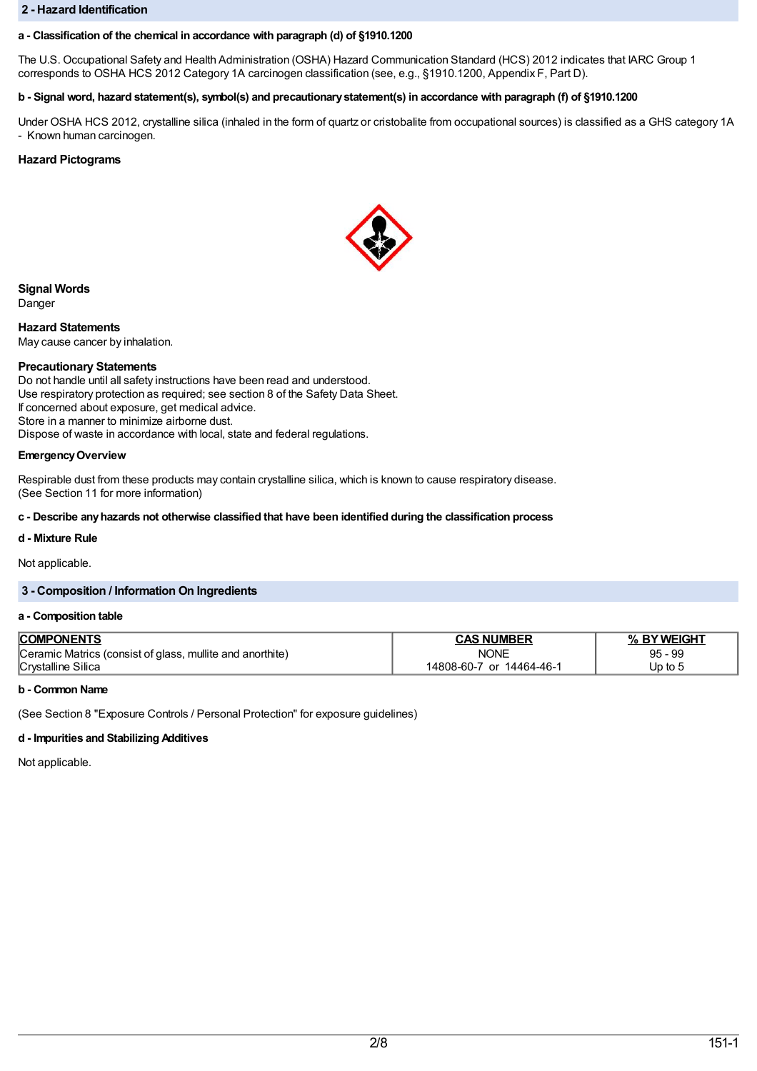### **2 - Hazard Identification**

# **a - Classification of the chemical in accordance with paragraph (d) of §1910.1200**

The U.S. Occupational Safety and Health Administration (OSHA) Hazard Communication Standard (HCS) 2012 indicates that IARC Group 1 corresponds to OSHA HCS 2012 Category 1A carcinogen classification (see, e.g., §1910.1200, Appendix F, Part D).

# b - Signal word, hazard statement(s), symbol(s) and precautionary statement(s) in accordance with paragraph (f) of §1910.1200

Under OSHA HCS 2012, crystalline silica (inhaled in the form of quartz or cristobalite from occupational sources) is classified as a GHS category 1A - Known human carcinogen.

# **Hazard Pictograms**



**Signal Words** Danger

**Hazard Statements** May cause cancer by inhalation.

# **Precautionary Statements**

Do not handle until all safety instructions have been read and understood. Use respiratory protection as required; see section 8 of the Safety Data Sheet. If concerned about exposure, get medical advice. Store in a manner to minimize airborne dust. Dispose of waste in accordance with local, state and federal regulations.

# **EmergencyOverview**

Respirable dust from these products may contain crystalline silica, which is known to cause respiratory disease. (See Section 11 for more information)

### **c - Describe anyhazards not otherwise classified that have been identified during the classification process**

# **d - Mixture Rule**

Not applicable.

# **3 - Composition / Information On Ingredients**

### **a - Composition table**

| <b>COMPONENTS</b>                                         | <b>NUMBER</b><br>↑∧c               | <b>NEIGHT</b>                        |
|-----------------------------------------------------------|------------------------------------|--------------------------------------|
| Ceramic Matrics (consist of glass, mullite and anorthite) | <b>NONE</b>                        | 99<br>95<br>$\overline{\phantom{0}}$ |
| Silica<br>Crystalline                                     | $14464 - 46 -$<br>14808-60-7<br>or | Up to t                              |

### **b - Common Name**

(See Section 8 "Exposure Controls / Personal Protection" for exposure guidelines)

### **d - Impurities and Stabilizing Additives**

Not applicable.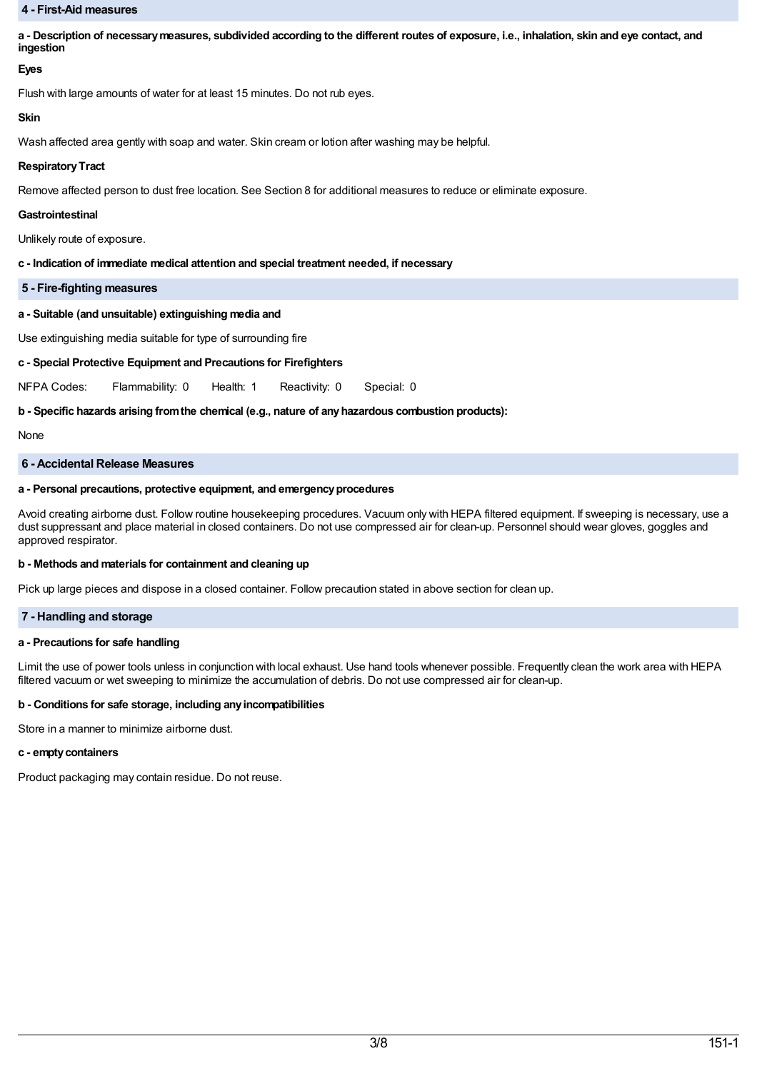### **4 - First-Aid measures**

a - Description of necessary measures, subdivided according to the different routes of exposure, i.e., inhalation, skin and eye contact, and **ingestion**

# **Eyes**

Flush with large amounts of water for at least 15 minutes. Do not rub eyes.

# **Skin**

Wash affected area gently with soap and water. Skin cream or lotion after washing may be helpful.

# **RespiratoryTract**

Remove affected person to dust free location. See Section 8 for additional measures to reduce or eliminate exposure.

# **Gastrointestinal**

Unlikely route of exposure.

# **c - Indication of immediate medical attention and special treatment needed, if necessary**

**5 - Fire-fighting measures**

# **a - Suitable (and unsuitable) extinguishing media and**

Use extinguishing media suitable for type of surrounding fire

# **c - Special Protective Equipment and Precautions for Firefighters**

NFPA Codes: Flammability: 0 Health: 1 Reactivity: 0 Special: 0

# **b - Specific hazards arising fromthe chemical (e.g., nature of anyhazardous combustion products):**

None

# **6 - Accidental Release Measures**

# **a - Personal precautions, protective equipment, and emergencyprocedures**

Avoid creating airborne dust. Follow routine housekeeping procedures. Vacuum only with HEPA filtered equipment. If sweeping is necessary, use a dust suppressant and place material in closed containers. Do not use compressed air for clean-up. Personnel should wear gloves, goggles and approved respirator.

### **b - Methods and materials for containment and cleaning up**

Pick up large pieces and dispose in a closed container. Follow precaution stated in above section for clean up.

# **7 - Handling and storage**

### **a - Precautions for safe handling**

Limit the use of power tools unless in conjunction with local exhaust. Use hand tools whenever possible. Frequently clean the work area with HEPA filtered vacuum or wet sweeping to minimize the accumulation of debris. Do not use compressed air for clean-up.

### **b - Conditions for safe storage, including anyincompatibilities**

Store in a manner to minimize airborne dust.

### **c - emptycontainers**

Product packaging may contain residue. Do not reuse.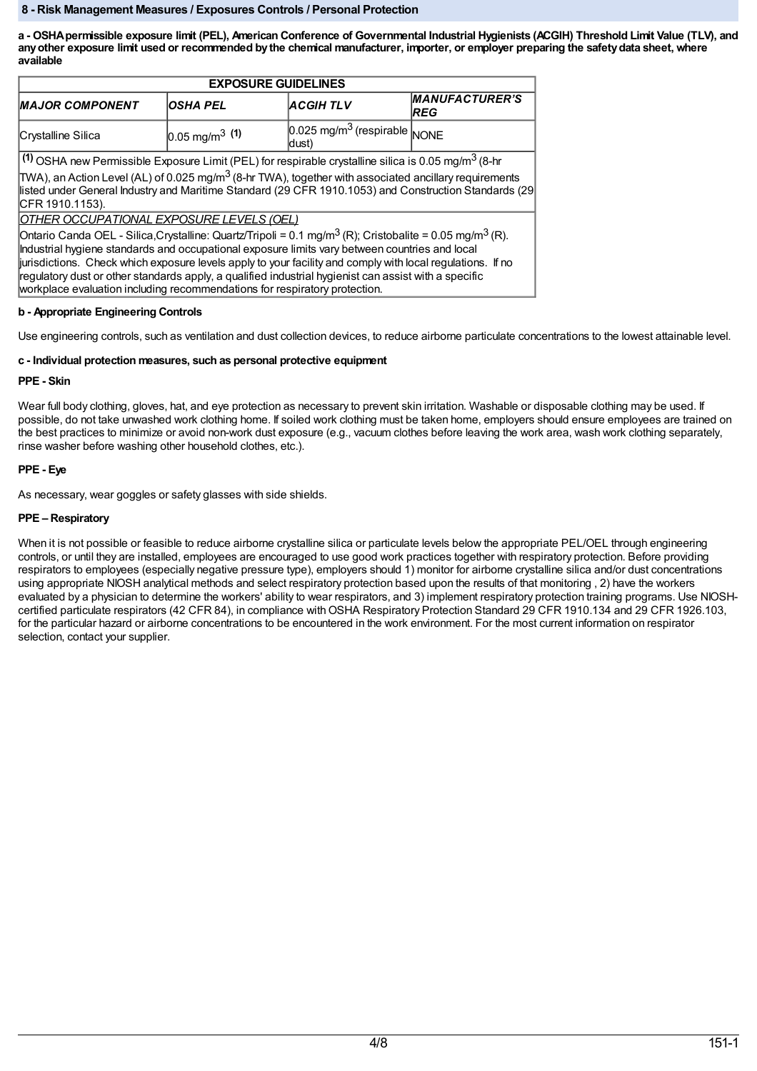# **8 - Risk Management Measures / Exposures Controls / Personal Protection**

a - OSHA permissible exposure limit (PEL), American Conference of Governmental Industrial Hygienists (ACGIH) Threshold Limit Value (TLV), and any other exposure limit used or recommended by the chemical manufacturer, importer, or employer preparing the safety data sheet, where **available**

| <b>EXPOSURE GUIDELINES</b>                                                                                                                                                                                                                                                                                                                                                                                                                                                                                                            |                              |                                                     |                                     |
|---------------------------------------------------------------------------------------------------------------------------------------------------------------------------------------------------------------------------------------------------------------------------------------------------------------------------------------------------------------------------------------------------------------------------------------------------------------------------------------------------------------------------------------|------------------------------|-----------------------------------------------------|-------------------------------------|
| <b>MAJOR COMPONENT</b>                                                                                                                                                                                                                                                                                                                                                                                                                                                                                                                | <b>IOSHA PEL</b>             | <b>ACGIHTLV</b>                                     | <b>MANUFACTURER'S</b><br><b>REG</b> |
| Crystalline Silica                                                                                                                                                                                                                                                                                                                                                                                                                                                                                                                    | $0.05$ mg/m <sup>3</sup> (1) | $0.025$ mg/m <sup>3</sup> (respirable NONE<br>dust) |                                     |
| (1) OSHA new Permissible Exposure Limit (PEL) for respirable crystalline silica is 0.05 mg/m <sup>3</sup> (8-hr                                                                                                                                                                                                                                                                                                                                                                                                                       |                              |                                                     |                                     |
| TWA), an Action Level (AL) of 0.025 mg/m <sup>3</sup> (8-hr TWA), together with associated ancillary requirements<br>listed under General Industry and Maritime Standard (29 CFR 1910.1053) and Construction Standards (29<br>CFR 1910.1153).<br>OTHER OCCUPATIONAL EXPOSURE LEVELS (OEL)                                                                                                                                                                                                                                             |                              |                                                     |                                     |
| Ontario Canda OEL - Silica,Crystalline: Quartz/Tripoli = 0.1 mg/m <sup>3</sup> (R); Cristobalite = 0.05 mg/m <sup>3</sup> (R).<br>Industrial hygiene standards and occupational exposure limits vary between countries and local<br>jurisdictions. Check which exposure levels apply to your facility and comply with local regulations. If no<br>regulatory dust or other standards apply, a qualified industrial hygienist can assist with a specific<br>workplace evaluation including recommendations for respiratory protection. |                              |                                                     |                                     |

# **b - Appropriate Engineering Controls**

Use engineering controls, such as ventilation and dust collection devices, to reduce airborne particulate concentrations to the lowest attainable level.

### **c - Individual protection measures, such as personal protective equipment**

# **PPE - Skin**

Wear full body clothing, gloves, hat, and eye protection as necessary to prevent skin irritation. Washable or disposable clothing may be used. If possible, do not take unwashed work clothing home. If soiled work clothing must be taken home, employers should ensure employees are trained on the best practices to minimize or avoid non-work dust exposure (e.g., vacuum clothes before leaving the work area, wash work clothing separately, rinse washer before washing other household clothes, etc.).

# **PPE - Eye**

As necessary, wear goggles or safety glasses with side shields.

# **PPE – Respiratory**

When it is not possible or feasible to reduce airborne crystalline silica or particulate levels below the appropriate PEL/OEL through engineering controls, or until they are installed, employees are encouraged to use good work practices together with respiratory protection. Before providing respirators to employees (especially negative pressure type), employers should 1) monitor for airborne crystalline silica and/or dust concentrations using appropriate NIOSH analytical methods and select respiratory protection based upon the results of that monitoring , 2) have the workers evaluated by a physician to determine the workers' ability to wear respirators, and 3) implement respiratory protection training programs. Use NIOSHcertified particulate respirators (42 CFR 84), in compliance with OSHA Respiratory Protection Standard 29 CFR 1910.134 and 29 CFR 1926.103, for the particular hazard or airborne concentrations to be encountered in the work environment. For the most current information on respirator selection, contact your supplier.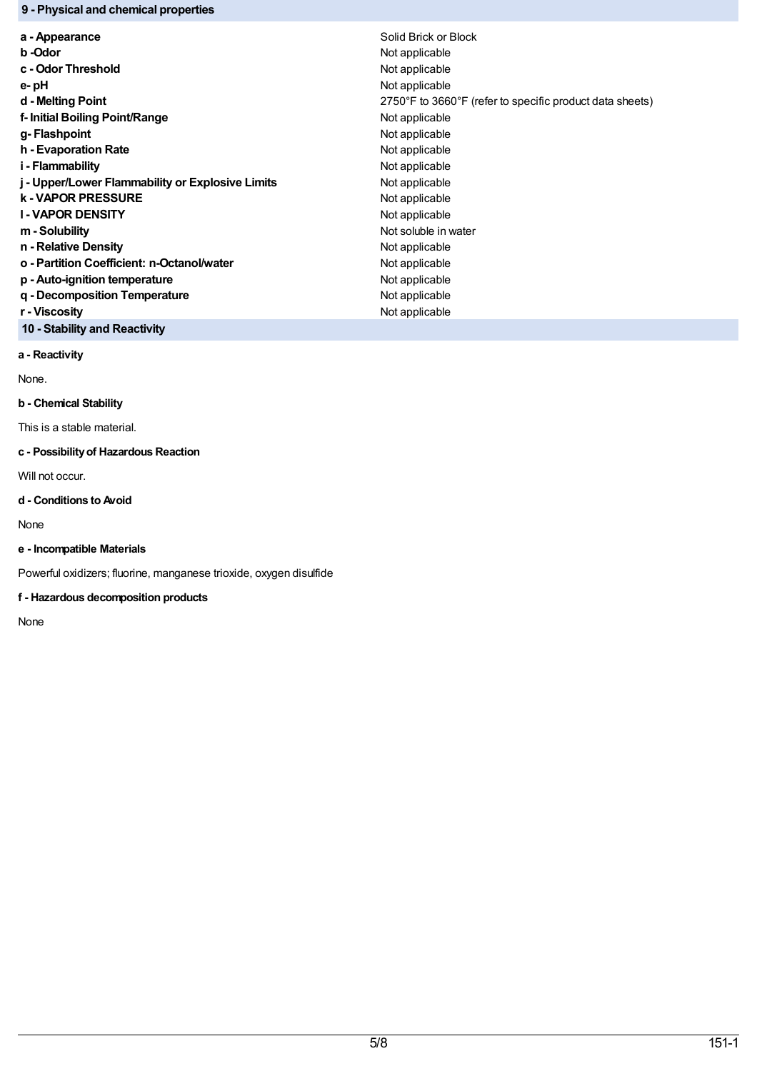# **9 - Physical and chemical properties**

| a - Appearance                                   | Solid Brick or Block                                     |
|--------------------------------------------------|----------------------------------------------------------|
| b -Odor                                          | Not applicable                                           |
| c - Odor Threshold                               | Not applicable                                           |
| e-pH                                             | Not applicable                                           |
| d - Melting Point                                | 2750°F to 3660°F (refer to specific product data sheets) |
| f- Initial Boiling Point/Range                   | Not applicable                                           |
| g-Flashpoint                                     | Not applicable                                           |
| h - Evaporation Rate                             | Not applicable                                           |
| i - Flammability                                 | Not applicable                                           |
| j - Upper/Lower Flammability or Explosive Limits | Not applicable                                           |
| <b>k-VAPOR PRESSURE</b>                          | Not applicable                                           |
| <b>I-VAPOR DENSITY</b>                           | Not applicable                                           |
| m - Solubility                                   | Not soluble in water                                     |
| n - Relative Density                             | Not applicable                                           |
| o - Partition Coefficient: n-Octanol/water       | Not applicable                                           |
| p - Auto-ignition temperature                    | Not applicable                                           |
| q - Decomposition Temperature                    | Not applicable                                           |
| r - Viscosity                                    | Not applicable                                           |

**10 - Stability and Reactivity**

**a - Reactivity**

None.

# **b - Chemical Stability**

This is a stable material.

# **c - Possibilityof Hazardous Reaction**

Will not occur.

# **d - Conditions to Avoid**

None

# **e - Incompatible Materials**

Powerful oxidizers; fluorine, manganese trioxide, oxygen disulfide

# **f - Hazardous decomposition products**

None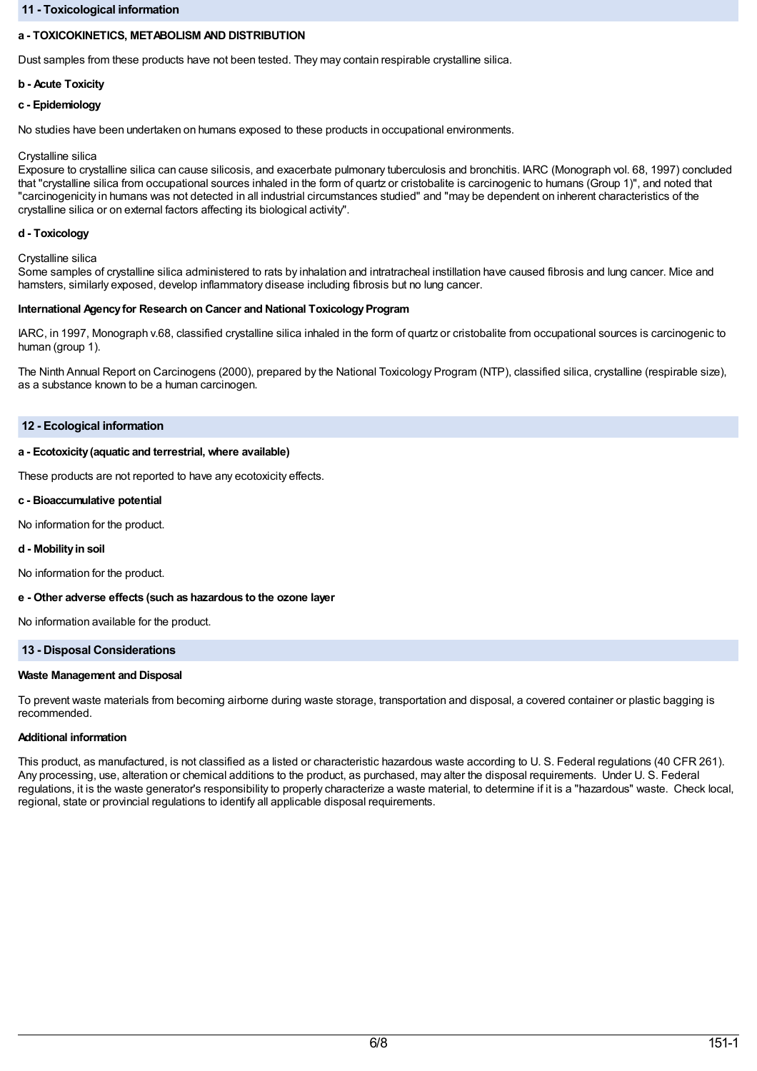# **11 - Toxicological information**

# **a - TOXICOKINETICS, METABOLISM AND DISTRIBUTION**

Dust samples from these products have not been tested. They may contain respirable crystalline silica.

### **b - Acute Toxicity**

### **c - Epidemiology**

No studies have been undertaken on humans exposed to these products in occupational environments.

### Crystalline silica

Exposure to crystalline silica can cause silicosis, and exacerbate pulmonary tuberculosis and bronchitis. IARC (Monograph vol. 68, 1997) concluded that "crystalline silica from occupational sources inhaled in the form of quartz or cristobalite is carcinogenic to humans (Group 1)", and noted that "carcinogenicity in humans was not detected in all industrial circumstances studied" and "may be dependent on inherent characteristics of the crystalline silica or on external factors affecting its biological activity".

### **d - Toxicology**

Crystalline silica

Some samples of crystalline silica administered to rats by inhalation and intratracheal instillation have caused fibrosis and lung cancer. Mice and hamsters, similarly exposed, develop inflammatory disease including fibrosis but no lung cancer.

#### **International Agency for Research on Cancer and National Toxicology Program**

IARC, in 1997, Monograph v.68, classified crystalline silica inhaled in the form of quartz or cristobalite from occupational sources is carcinogenic to human (group 1).

The Ninth Annual Report on Carcinogens (2000), prepared by the National Toxicology Program (NTP), classified silica, crystalline (respirable size), as a substance known to be a human carcinogen.

# **12 - Ecological information**

### **a - Ecotoxicity(aquatic and terrestrial, where available)**

These products are not reported to have any ecotoxicity effects.

#### **c - Bioaccumulative potential**

No information for the product.

### **d - Mobilityin soil**

No information for the product.

### **e - Other adverse effects (such as hazardous to the ozone layer**

No information available for the product.

### **13 - Disposal Considerations**

### **Waste Management and Disposal**

To prevent waste materials from becoming airborne during waste storage, transportation and disposal, a covered container or plastic bagging is recommended.

### **Additional information**

This product, as manufactured, is not classified as a listed or characteristic hazardous waste according to U. S. Federal regulations (40 CFR 261). Any processing, use, alteration or chemical additions to the product, as purchased, may alter the disposal requirements. Under U. S. Federal regulations, it is the waste generator's responsibility to properly characterize a waste material, to determine if it is a "hazardous" waste. Check local, regional, state or provincial regulations to identify all applicable disposal requirements.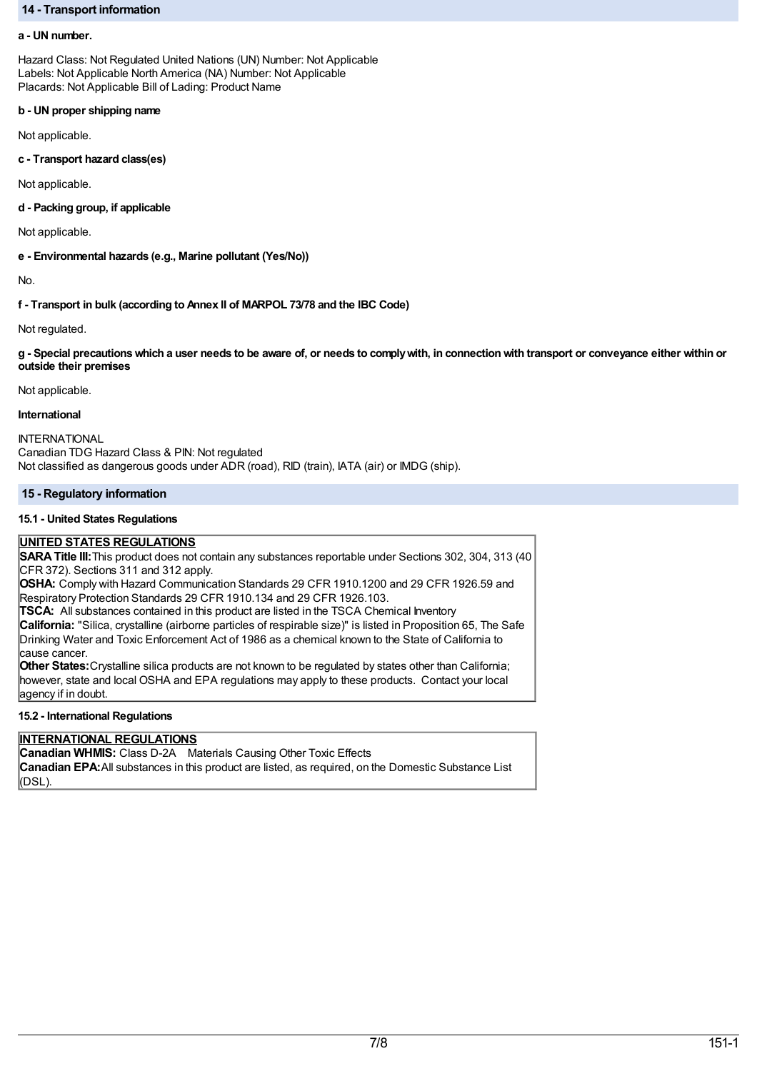# **14 - Transport information**

#### **a - UN number.**

Hazard Class: Not Regulated United Nations (UN) Number: Not Applicable Labels: Not Applicable North America (NA) Number: Not Applicable Placards: Not Applicable Bill of Lading: Product Name

#### **b - UN proper shipping name**

Not applicable.

**c - Transport hazard class(es)**

Not applicable.

**d - Packing group, if applicable**

Not applicable.

**e - Environmental hazards (e.g., Marine pollutant (Yes/No))**

No.

**f - Transport in bulk (according to Annex II of MARPOL 73/78 and the IBC Code)**

Not regulated.

g - Special precautions which a user needs to be aware of, or needs to comply with, in connection with transport or conveyance either within or **outside their premises**

Not applicable.

# **International**

**INTERNATIONAL** Canadian TDG Hazard Class & PIN: Not regulated Not classified as dangerous goods under ADR (road), RID (train), IATA (air) or IMDG (ship).

# **15 - Regulatory information**

### **15.1 - United States Regulations**

# **UNITED STATES REGULATIONS**

**SARATitle III:**This product does not contain any substances reportable under Sections 302, 304, 313 (40 CFR 372). Sections 311 and 312 apply.

**OSHA:** Comply with Hazard Communication Standards 29 CFR 1910.1200 and 29 CFR 1926.59 and Respiratory Protection Standards 29 CFR 1910.134 and 29 CFR 1926.103.

**TSCA:** All substances contained in this product are listed in the TSCA Chemical Inventory

**California:** "Silica, crystalline (airborne particles of respirable size)" is listed in Proposition 65, The Safe Drinking Water and Toxic Enforcement Act of 1986 as a chemical known to the State of California to cause cancer.

**Other States:**Crystalline silica products are not known to be regulated by states other than California; however, state and local OSHA and EPA regulations may apply to these products. Contact your local agency if in doubt.

### **15.2 - International Regulations**

# **INTERNATIONAL REGULATIONS**

**Canadian WHMIS:** Class D-2A Materials Causing Other Toxic Effects **Canadian EPA:**All substances in this product are listed, as required, on the Domestic Substance List (DSL).